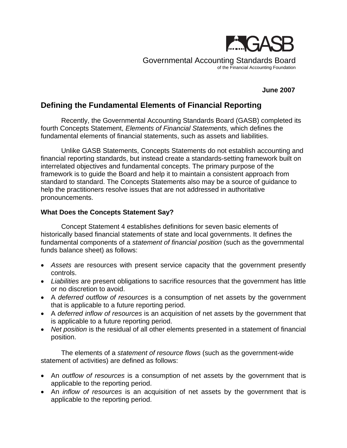

Governmental Accounting Standards Board of the Financial Accounting Foundation

# **June 2007**

# **Defining the Fundamental Elements of Financial Reporting**

Recently, the Governmental Accounting Standards Board (GASB) completed its fourth Concepts Statement, *Elements of Financial Statements,* which defines the fundamental elements of financial statements, such as assets and liabilities.

Unlike GASB Statements, Concepts Statements do not establish accounting and financial reporting standards, but instead create a standards-setting framework built on interrelated objectives and fundamental concepts. The primary purpose of the framework is to guide the Board and help it to maintain a consistent approach from standard to standard. The Concepts Statements also may be a source of guidance to help the practitioners resolve issues that are not addressed in authoritative pronouncements.

# **What Does the Concepts Statement Say?**

Concept Statement 4 establishes definitions for seven basic elements of historically based financial statements of state and local governments. It defines the fundamental components of a *statement of financial position* (such as the governmental funds balance sheet) as follows:

- *Assets* are resources with present service capacity that the government presently controls.
- *Liabilities* are present obligations to sacrifice resources that the government has little or no discretion to avoid.
- A *deferred outflow of resources* is a consumption of net assets by the government that is applicable to a future reporting period.
- A *deferred inflow of resources* is an acquisition of net assets by the government that is applicable to a future reporting period.
- *Net position* is the residual of all other elements presented in a statement of financial position.

The elements of a *statement of resource flows* (such as the government-wide statement of activities) are defined as follows:

- An *outflow of resources* is a consumption of net assets by the government that is applicable to the reporting period.
- An *inflow of resources* is an acquisition of net assets by the government that is applicable to the reporting period.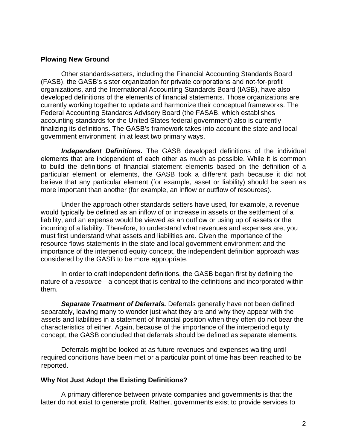### **Plowing New Ground**

Other standards-setters, including the Financial Accounting Standards Board (FASB), the GASB's sister organization for private corporations and not-for-profit organizations, and the International Accounting Standards Board (IASB), have also developed definitions of the elements of financial statements. Those organizations are currently working together to update and harmonize their conceptual frameworks. The Federal Accounting Standards Advisory Board (the FASAB, which establishes accounting standards for the United States federal government) also is currently finalizing its definitions. The GASB's framework takes into account the state and local government environment in at least two primary ways.

*Independent Definitions.* The GASB developed definitions of the individual elements that are independent of each other as much as possible. While it is common to build the definitions of financial statement elements based on the definition of a particular element or elements, the GASB took a different path because it did not believe that any particular element (for example, asset or liability) should be seen as more important than another (for example, an inflow or outflow of resources).

Under the approach other standards setters have used, for example, a revenue would typically be defined as an inflow of or increase in assets or the settlement of a liability, and an expense would be viewed as an outflow or using up of assets or the incurring of a liability. Therefore, to understand what revenues and expenses are, you must first understand what assets and liabilities are. Given the importance of the resource flows statements in the state and local government environment and the importance of the interperiod equity concept, the independent definition approach was considered by the GASB to be more appropriate.

In order to craft independent definitions, the GASB began first by defining the nature of a *resource—*a concept that is central to the definitions and incorporated within them.

*Separate Treatment of Deferrals.* Deferrals generally have not been defined separately, leaving many to wonder just what they are and why they appear with the assets and liabilities in a statement of financial position when they often do not bear the characteristics of either. Again, because of the importance of the interperiod equity concept, the GASB concluded that deferrals should be defined as separate elements.

Deferrals might be looked at as future revenues and expenses waiting until required conditions have been met or a particular point of time has been reached to be reported.

# **Why Not Just Adopt the Existing Definitions?**

A primary difference between private companies and governments is that the latter do not exist to generate profit. Rather, governments exist to provide services to